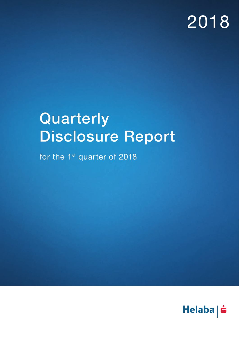# 2018

# **Quarterly** Disclosure Report

for the 1<sup>st</sup> quarter of 2018

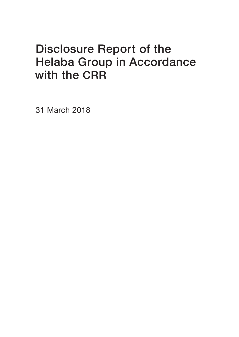### Disclosure Report of the Helaba Group in Accordance with the CRR

31 March 2018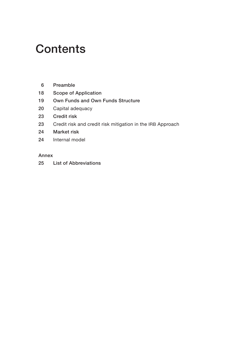### **Contents**

- [6 P](#page-5-0)reamble
- [18 S](#page-17-0)cope of Application
- [19 O](#page-18-0)wn Funds and Own Funds Structure
- [20](#page-19-0) Capital adequacy
- [23 Credit risk](#page-22-0)
- 23 [C](#page-22-0)redit risk and credit risk mitigation in the IRB Approach
- [24 Market risk](#page-23-0)
- 24 [I](#page-23-0)nternal model

### Annex

[25 L](#page-24-0)ist of Abbreviations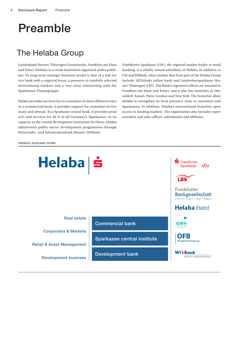### <span id="page-5-0"></span>Preamble

### The Helaba Group

Landesbank Hessen-Thüringen Girozentrale, Frankfurt am Main and Erfurt (Helaba) is a credit institution organised under public law. Its long-term strategic business model is that of a full-service bank with a regional focus, a presence in carefully selected international markets and a very close relationship with the Sparkassen-Finanzgruppe.

Helaba provides services for its customers in three different roles. As a commercial bank, it provides support for customers in Germany and abroad. As a Sparkasse central bank, it provides products and services for 40 % of all Germany's Sparkassen. In its capacity as the central development institution for Hesse, Helaba administers public-sector development programmes through Wirtschafts- und Infrastrukturbank Hessen (WIBank).

Frankfurter Sparkasse (FSP), the regional market leader in retail banking, is a wholly owned subsidiary of Helaba. In addition to FSP and WIBank, other entities that form part of the Helaba Group include 1822direkt online bank and Landesbausparkasse Hessen-Thüringen (LBS). The Bank's registered offices are situated in Frankfurt am Main and Erfurt, and it also has branches in Düsseldorf, Kassel, Paris, London and New York. The branches allow Helaba to strengthen its local presence close to customers and Sparkassen. In addition, Helaba's international branches open access to funding markets. The organisation also includes representative and sales offices, subsidiaries and affiliates.

#### Helaba's business model

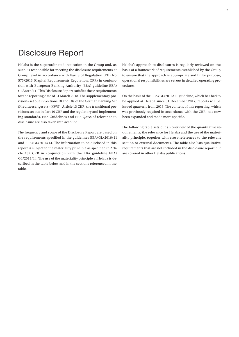### Disclosure Report

Helaba is the superordinated institution in the Group and, as such, is responsible for meeting the disclosure requirements at Group level in accordance with Part 8 of Regulation (EU) No 575/2013 (Capital Requirements Regulation, CRR) in conjunction with European Banking Authority (EBA) guideline EBA/ GL/2016/11. This Disclosure Report satisfies these requirements for the reporting date of 31 March 2018. The supplementary provisions set out in Sections 10 and 10a of the German Banking Act (Kreditwesengesetz – KWG), Article 13 CRR, the transitional provisions set out in Part 10 CRR and the regulatory and implementing standards, EBA Guidelines and EBA Q&As of relevance to disclosure are also taken into account.

The frequency and scope of the Disclosure Report are based on the requirements specified in the guidelines EBA/GL/2016/11 and EBA/GL/2014/14. The information to be disclosed in this report is subject to the materiality principle as specified in Article 432 CRR in conjunction with the EBA guideline EBA/ GL/2014/14. The use of the materiality principle at Helaba is described in the table below and in the sections referenced in the table.

Helaba's approach to disclosures is regularly reviewed on the basis of a framework of requirements established by the Group to ensure that the approach is appropriate and fit for purpose; operational responsibilities are set out in detailed operating procedures.

On the basis of the EBA/GL/2016/11 guideline, which has had to be applied at Helaba since 31 December 2017, reports will be issued quarterly from 2018. The content of this reporting, which was previously required in accordance with the CRR, has now been expanded and made more specific.

The following table sets out an overview of the quantitative requirements, the relevance for Helaba and the use of the materiality principle, together with cross-references to the relevant section or external documents. The table also lists qualitative requirements that are not included in the disclosure report but are covered in other Helaba publications.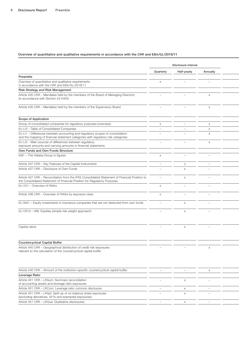|                                                                                                                                                                            | Disclosure interval      |                          |                                 |
|----------------------------------------------------------------------------------------------------------------------------------------------------------------------------|--------------------------|--------------------------|---------------------------------|
|                                                                                                                                                                            | Quarterly                | Half-yearly              | Annually                        |
| Preamble                                                                                                                                                                   |                          |                          |                                 |
| Overview of quantitative and qualitative requirements<br>in accordance with the CRR and EBA/GL/2016/11                                                                     | $\times$                 |                          |                                 |
| Risk Strategy and Risk Management                                                                                                                                          |                          |                          |                                 |
| Article 435 CRR - Mandates held by the members of the Board of Managing Directors<br>(in accordance with Section 24 KWG)                                                   |                          |                          | $\mathsf{x}$                    |
| Article 435 CRR - Mandates held by the members of the Supervisory Board                                                                                                    |                          | $\overline{\phantom{a}}$ | $\times$                        |
| Scope of Application                                                                                                                                                       |                          |                          |                                 |
| Group of consolidated companies for regulatory purposes (overview)                                                                                                         | $\times$                 | $\qquad \qquad -$        | $\times$                        |
| EU LI3 - Table of Consolidated Companies                                                                                                                                   | $\overline{\phantom{a}}$ | $\overline{\phantom{m}}$ | $\times$                        |
| EU LI1 - Differences between accounting and regulatory scopes of consolidation<br>and the mapping of financial statement categories with regulatory risk categories        |                          | $\overline{\phantom{0}}$ | $\times$                        |
| EU LI2 - Main sources of differences between regulatory<br>exposure amounts and carrying amounts in financial statements                                                   |                          |                          | $\times$                        |
| Own Funds and Own Funds Structure                                                                                                                                          |                          |                          |                                 |
| KM1 - The Helaba Group in figures                                                                                                                                          | $\times$                 | $\overline{\phantom{0}}$ |                                 |
| Article 437 CRR - Key Features of the Capital Instruments                                                                                                                  | $\overline{\phantom{0}}$ | $\boldsymbol{\times}$    | $\hspace{0.1mm}-\hspace{0.1mm}$ |
| Article 437 CRR - Disclosure of Own Funds                                                                                                                                  |                          | $\times$                 |                                 |
| Article 437 CRR - Reconciliation from the IFRS Consolidated Statement of Financial Position to<br>the Consolidated Statement of Financial Position for Regulatory Purposes | $\overline{\phantom{0}}$ | X                        |                                 |
| EU OV1 - Overview of RWAs                                                                                                                                                  | $\times$                 |                          |                                 |
| Article 438 CRR - Overview of RWAs by exposure class                                                                                                                       | $\times$                 |                          |                                 |
| EU INS1 - Equity investments in insurance companies that are not deducted from own funds                                                                                   | $\overline{\phantom{a}}$ | $\times$                 |                                 |
| EU CR10 - IRB: Equities (simple risk weight approach)                                                                                                                      |                          | $\boldsymbol{\times}$    |                                 |
| Capital ratios                                                                                                                                                             |                          | $\times$                 |                                 |
|                                                                                                                                                                            |                          |                          |                                 |
| <b>Countercyclical Capital Buffer</b>                                                                                                                                      |                          |                          |                                 |
| Article 440 CRR - Geographical distribution of credit risk exposures<br>relevant to the calculation of the countercyclical capital buffer                                  |                          |                          | $\times$                        |
| Article 440 CRR - Amount of the institution-specific countercyclical capital buffer                                                                                        | $\overline{\phantom{a}}$ | $\overline{\phantom{m}}$ | $\mathsf{X}$                    |
| Leverage Ratio                                                                                                                                                             |                          |                          |                                 |
| Article 451 CRR - LRSum: Summary reconciliation<br>of accounting assets and leverage ratio exposures                                                                       |                          | $\times$                 |                                 |
| Article 451 CRR - LRCom: Leverage ratio common disclosure                                                                                                                  | $\overline{\phantom{a}}$ | $\times$                 |                                 |
| Article 451 CRR - LRSpl: Split-up of on-balance sheet exposures                                                                                                            |                          | X                        |                                 |

(excluding derivatives, SFTs and exempted exposures) Article 451 CRR – LRQua: Qualitative disclosures – and the section of the section of the section of the section of the section of the section of the section of the section of the section of the section of the section of th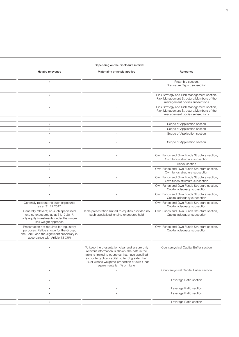|                                                                                                                                                                    | Depending on the disclosure interval                                                                                                                                                                                                                                                        |                                                                                                                         |
|--------------------------------------------------------------------------------------------------------------------------------------------------------------------|---------------------------------------------------------------------------------------------------------------------------------------------------------------------------------------------------------------------------------------------------------------------------------------------|-------------------------------------------------------------------------------------------------------------------------|
| Helaba relevance                                                                                                                                                   | Materiality principle applied                                                                                                                                                                                                                                                               | Reference                                                                                                               |
| $\times$                                                                                                                                                           | $\overline{\phantom{a}}$                                                                                                                                                                                                                                                                    | Preamble section,<br>Disclosure Report subsection                                                                       |
| $\times$                                                                                                                                                           |                                                                                                                                                                                                                                                                                             | Risk Strategy and Risk Management section,<br>Risk Management Structure/Members of the<br>management bodies subsections |
| $\times$                                                                                                                                                           |                                                                                                                                                                                                                                                                                             | Risk Strategy and Risk Management section,<br>Risk Management Structure/Members of the<br>management bodies subsections |
|                                                                                                                                                                    |                                                                                                                                                                                                                                                                                             |                                                                                                                         |
| $\times$                                                                                                                                                           | $\overline{\phantom{0}}$                                                                                                                                                                                                                                                                    | Scope of Application section                                                                                            |
| $\times$                                                                                                                                                           | $\overline{\phantom{a}}$                                                                                                                                                                                                                                                                    | Scope of Application section                                                                                            |
| $\times$                                                                                                                                                           | $\overline{\phantom{a}}$                                                                                                                                                                                                                                                                    | Scope of Application section                                                                                            |
| $\times$                                                                                                                                                           |                                                                                                                                                                                                                                                                                             | Scope of Application section                                                                                            |
| $\times$                                                                                                                                                           |                                                                                                                                                                                                                                                                                             | Own Funds and Own Funds Structure section,<br>Own funds structure subsection                                            |
| $\times$                                                                                                                                                           |                                                                                                                                                                                                                                                                                             | Annex section                                                                                                           |
| $\times$                                                                                                                                                           |                                                                                                                                                                                                                                                                                             | Own Funds and Own Funds Structure section,<br>Own funds structure subsection                                            |
| $\times$                                                                                                                                                           | $\overline{\phantom{0}}$                                                                                                                                                                                                                                                                    | Own Funds and Own Funds Structure section,<br>Own funds structure subsection                                            |
| $\times$                                                                                                                                                           | $\overline{\phantom{0}}$                                                                                                                                                                                                                                                                    | Own Funds and Own Funds Structure section,<br>Capital adequacy subsection                                               |
| $\times$                                                                                                                                                           |                                                                                                                                                                                                                                                                                             | Own Funds and Own Funds Structure section,<br>Capital adequacy subsection                                               |
| Generally relevant; no such exposures<br>as at 31.12.2017                                                                                                          |                                                                                                                                                                                                                                                                                             | Own Funds and Own Funds Structure section,<br>Capital adequacy subsection                                               |
| Generally relevant; no such specialised<br>lending exposures as at 31.12.2017,<br>only equity investments under the simple<br>risk weight approach                 | Table presentation limited to equities provided no<br>such specialised lending exposures held                                                                                                                                                                                               | Own Funds and Own Funds Structure section,<br>Capital adequacy subsection                                               |
| Presentation not required for regulatory<br>purposes. Ratios shown for the Group,<br>the Bank, and the significant subsidiary in<br>accordance with Article 13 CRR |                                                                                                                                                                                                                                                                                             | Own Funds and Own Funds Structure section,<br>Capital adequacy subsection                                               |
| $\times$                                                                                                                                                           | To keep the presentation clear and ensure only<br>relevant information is shown, the data in the<br>table is limited to countries that have specified<br>a countercyclical capital buffer of greater than<br>0% or whose weighted proportion of own funds<br>requirements is 1 % or higher. | Countercyclical Capital Buffer section                                                                                  |
| $\times$                                                                                                                                                           | $\overline{\phantom{a}}$                                                                                                                                                                                                                                                                    | Countercyclical Capital Buffer section                                                                                  |
|                                                                                                                                                                    |                                                                                                                                                                                                                                                                                             |                                                                                                                         |
| $\times$                                                                                                                                                           | $\overline{\phantom{a}}$                                                                                                                                                                                                                                                                    | Leverage Ratio section                                                                                                  |
| $\times$                                                                                                                                                           | $\overline{\phantom{a}}$                                                                                                                                                                                                                                                                    | Leverage Ratio section                                                                                                  |
| $\times$                                                                                                                                                           | $\overline{\phantom{a}}$                                                                                                                                                                                                                                                                    | Leverage Ratio section                                                                                                  |
| $\times$                                                                                                                                                           | $\overline{\phantom{a}}$                                                                                                                                                                                                                                                                    | Leverage Ratio section                                                                                                  |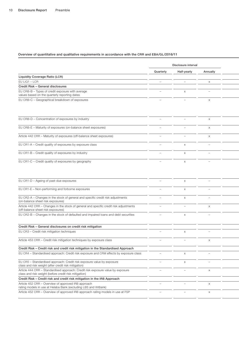|                                                                                                                                          | Disclosure interval      |                          |                          |  |  |  |  |  |  |  |  |  |  |
|------------------------------------------------------------------------------------------------------------------------------------------|--------------------------|--------------------------|--------------------------|--|--|--|--|--|--|--|--|--|--|
|                                                                                                                                          | Quarterly                | Half-yearly              | Annually                 |  |  |  |  |  |  |  |  |  |  |
| Liquidity Coverage Ratio (LCR)                                                                                                           |                          |                          |                          |  |  |  |  |  |  |  |  |  |  |
| EU LIQ1 - LCR                                                                                                                            | $\overline{\phantom{0}}$ | $-$                      | $\times$                 |  |  |  |  |  |  |  |  |  |  |
| Credit Risk - General disclosures                                                                                                        |                          |                          |                          |  |  |  |  |  |  |  |  |  |  |
| EU CRB-B - Types of credit exposure with average<br>values based on the quarterly reporting dates                                        |                          | $\times$                 | $\overline{\phantom{0}}$ |  |  |  |  |  |  |  |  |  |  |
| EU CRB-C - Geographical breakdown of exposures                                                                                           |                          |                          | $\times$                 |  |  |  |  |  |  |  |  |  |  |
| EU CRB-D - Concentration of exposures by industry                                                                                        | $\overline{\phantom{a}}$ |                          | $\times$                 |  |  |  |  |  |  |  |  |  |  |
| EU CRB-E - Maturity of exposures (on-balance sheet exposures)                                                                            |                          |                          | $\times$                 |  |  |  |  |  |  |  |  |  |  |
| Article 442 CRR - Maturity of exposures (off-balance sheet exposures)                                                                    |                          | $\overline{\phantom{a}}$ | X                        |  |  |  |  |  |  |  |  |  |  |
| EU CR1-A - Credit quality of exposures by exposure class                                                                                 |                          | $\times$                 | $\overline{\phantom{0}}$ |  |  |  |  |  |  |  |  |  |  |
| EU CR1-B - Credit quality of exposures by industry                                                                                       |                          | $\times$                 | $\qquad \qquad -$        |  |  |  |  |  |  |  |  |  |  |
| EU CR1-C - Credit quality of exposures by geography                                                                                      |                          | $\times$                 | $\overline{\phantom{0}}$ |  |  |  |  |  |  |  |  |  |  |
| EU CR1-D - Ageing of past-due exposures                                                                                                  | $\equiv$                 | $\times$                 | $\overline{\phantom{m}}$ |  |  |  |  |  |  |  |  |  |  |
| EU CR1-E - Non-performing and forborne exposures                                                                                         | $\equiv$                 | $\times$                 | $\overline{\phantom{m}}$ |  |  |  |  |  |  |  |  |  |  |
| EU CR2-A - Changes in the stock of general and specific credit risk adjustments                                                          | $\overline{\phantom{m}}$ | $\times$                 | $\overline{\phantom{m}}$ |  |  |  |  |  |  |  |  |  |  |
| (on-balance sheet risk exposures)<br>Article 442 CRR - Changes in the stock of general and specific credit risk adjustments              | $\overline{\phantom{m}}$ |                          | $\times$                 |  |  |  |  |  |  |  |  |  |  |
| (off-balance sheet risk exposures)<br>EU CR2-B - Changes in the stock of defaulted and impaired loans and debt securities                | $\overline{\phantom{m}}$ | $\times$                 | $\overline{\phantom{m}}$ |  |  |  |  |  |  |  |  |  |  |
|                                                                                                                                          |                          |                          |                          |  |  |  |  |  |  |  |  |  |  |
| Credit Risk - General disclosures on credit risk mitigation<br>EU CR3 - Credit risk mitigation techniques                                |                          |                          |                          |  |  |  |  |  |  |  |  |  |  |
|                                                                                                                                          |                          | $\times$                 |                          |  |  |  |  |  |  |  |  |  |  |
| Article 453 CRR - Credit risk mitigation techniques by exposure class                                                                    |                          |                          |                          |  |  |  |  |  |  |  |  |  |  |
| Credit Risk - Credit risk and credit risk mitigation in the Standardised Approach                                                        |                          |                          |                          |  |  |  |  |  |  |  |  |  |  |
| EU CR4 - Standardised approach: Credit risk exposure and CRM effects by exposure class                                                   |                          |                          |                          |  |  |  |  |  |  |  |  |  |  |
| EU CR5 - Standardised approach: Credit risk exposure value by exposure<br>class and risk weight (after credit risk mitigation)           | $\overline{\phantom{0}}$ | $\times$                 | $\overline{\phantom{0}}$ |  |  |  |  |  |  |  |  |  |  |
| Article 444 CRR - Standardised approach: Credit risk exposure value by exposure<br>class and risk weight (before credit risk mitigation) |                          |                          | X                        |  |  |  |  |  |  |  |  |  |  |
| Credit Risk - Credit risk and credit risk mitigation in the IRB Approach                                                                 |                          |                          |                          |  |  |  |  |  |  |  |  |  |  |
| Article 452 CRR - Overview of approved IRB approach<br>rating models in use at Helaba Bank (excluding LBS and WIBank)                    |                          |                          | $\times$                 |  |  |  |  |  |  |  |  |  |  |
| Article 452 CRR - Overview of approved IRB approach rating models in use at FSP                                                          |                          |                          | $\times$                 |  |  |  |  |  |  |  |  |  |  |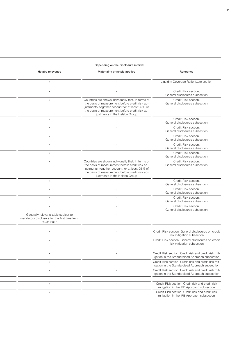### Helaba relevance **Materiality principle applied** Reference Reference **EU LIQUIDITY COVERGE AT LIQUIDITY COVERGE AT LCCR** section – x – x – Credit Risk section, General disclosures subsection x exponent – Countries are shown individually that, in terms of the basis of measurement before credit risk adjustments, together account for at least 95 % of the basis of measurement before credit risk adjustments in the Helaba Group Credit Risk section, General disclosures subsection  $\mathsf{x}$  –  $\mathsf{C}$  redit Risk section, General disclosures subsection EU CRB-E – Maturity of exposures (on-balance sheet exposures) – – x x – Credit Risk section, General disclosures subsection Article 442 CRR – Maturity of exposures (off-balance sheet exposures) – – x x – Credit Risk section, General disclosures subsection EU CR1-A – Credit quality of exposures by exposure class – x – x – Credit Risk section, General disclosures subsection  $\mathsf{x}$  is the contract of exposures by industry  $\mathsf{y}$  –  $\mathsf{z}$  –  $\mathsf{z}$  –  $\mathsf{z}$  –  $\mathsf{z}$  –  $\mathsf{z}$  –  $\mathsf{z}$  –  $\mathsf{z}$  –  $\mathsf{z}$  –  $\mathsf{z}$  –  $\mathsf{z}$  –  $\mathsf{z}$  –  $\mathsf{z}$  –  $\mathsf{z}$  –  $\mathsf{z}$  –  $\mathsf{z}$ General disclosures subsection x – Countries are shown individually that, in terms of the basis of measurement before credit risk adjustments, together account for at least 95 % of the basis of measurement before credit risk adjustments in the Helaba Group Credit Risk section, General disclosures subsection  $\mathsf{x}$  –  $\mathsf{C}$  redit Risk section, General disclosures subsection  $\mathsf{x}$  –  $\mathsf{C}$  redit Risk section, General disclosures subsection – x – x – Credit Risk section, General disclosures subsection – – x x – Credit Risk section, General disclosures subsection Generally relevant; table subject to mandatory disclosure for the first time from 30.06.2018 – – EU CR3 – Credit risk mitigation techniques – x – x – Credit Risk section, General disclosures on credit risk mitigation subsection Article 453 CRR – Credit risk mitigation techniques by exposure class – – x x – Credit Risk section, General disclosures on credit risk mitigation subsection EU CR4 – Standardised approach: Credit risk exposure and CRM effects by exposure class – x – x – Credit Risk section, Credit risk and credit risk mitigation in the Standardised Approach subsection – x – x – Credit Risk section, Credit risk and credit risk mitigation in the Standardised Approach subsection – – x x – Credit Risk section, Credit risk and credit risk mitigation in the Standardised Approach subsection – – x x – Credit Risk section, Credit risk and credit risk mitigation in the IRB Approach subsection Article 452 CRR – Overview of approved IRB approach rating models in use at FSP – – x x – Credit Risk section, Credit risk and credit risk

mitigation in the IRB Approach subsection

#### Depending on the disclosure interval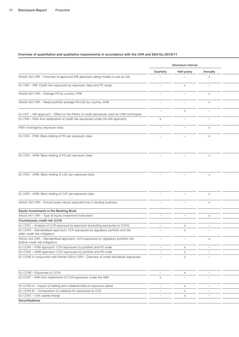|                                |                                                                                                     | Disclosure interval               |                          |                                                                    |  |
|--------------------------------|-----------------------------------------------------------------------------------------------------|-----------------------------------|--------------------------|--------------------------------------------------------------------|--|
|                                |                                                                                                     | Quarterly                         | Half-yearly              | Annually                                                           |  |
|                                | Article 452 CRR - Overview of approved IRB approach rating models in use at LBS                     | $\overline{\phantom{a}}$          |                          | $\times$                                                           |  |
|                                | EU CR6 - IRB: Credit risk exposures by exposure class and PD range                                  | $\overline{\phantom{a}}$          | $\times$                 | $\overline{\phantom{a}}$                                           |  |
|                                |                                                                                                     |                                   |                          |                                                                    |  |
|                                | Article 452 CRR - Average PD by country, FIRB                                                       | $\qquad \qquad -$                 | $\overline{\phantom{m}}$ | $\times$                                                           |  |
|                                | Article 452 CRR - Retail portfolio average PD/LGD by country, AIRB                                  |                                   | $\overline{\phantom{0}}$ | $\mathsf{X}$                                                       |  |
|                                |                                                                                                     |                                   |                          |                                                                    |  |
|                                | EU CR7 - IRB approach - Effect on the RWAs of credit derivatives used as CRM techniques             | $\overline{\phantom{0}}$          | $\times$                 | $\overline{\phantom{0}}$                                           |  |
|                                | EU CR8 - RWA flow statements of credit risk exposures under the IRB approach                        | $\times$                          | $\overline{\phantom{a}}$ | $\hspace{0.1mm}-\hspace{0.1mm}$                                    |  |
|                                | RWA coverage by exposure class                                                                      | $\overline{\phantom{a}}$          | $\qquad \qquad -$        | $\times$                                                           |  |
|                                |                                                                                                     |                                   |                          |                                                                    |  |
|                                | EU CR9 - FIRB: Back-testing of PD per exposure class                                                |                                   |                          | $\times$                                                           |  |
|                                |                                                                                                     |                                   |                          |                                                                    |  |
|                                |                                                                                                     |                                   |                          |                                                                    |  |
|                                | EU CR9 - AIRB: Back-testing of PD per exposure class                                                |                                   |                          | $\times$                                                           |  |
|                                |                                                                                                     |                                   |                          |                                                                    |  |
|                                |                                                                                                     |                                   |                          |                                                                    |  |
|                                |                                                                                                     |                                   |                          |                                                                    |  |
|                                | EU CR9 - AIRB: Back-testing of LGD per exposure class                                               |                                   |                          | $\times$                                                           |  |
|                                |                                                                                                     |                                   |                          |                                                                    |  |
|                                |                                                                                                     |                                   |                          |                                                                    |  |
|                                |                                                                                                     |                                   |                          |                                                                    |  |
|                                | EU CR9 - AIRB: Back-testing of CCF per exposure class                                               | $\qquad \qquad -$                 |                          | $\times$                                                           |  |
|                                | Article 452 CRR - Actual losses versus expected loss in lending business                            |                                   |                          | $\times$                                                           |  |
|                                |                                                                                                     |                                   |                          |                                                                    |  |
|                                | Equity Investments in the Banking Book                                                              |                                   |                          |                                                                    |  |
|                                | Article 447 CRR - Type of equity investment instrument<br>Counterparty credit risk (CCR)            | $\overline{\phantom{0}}$          | $\overline{\phantom{0}}$ | $\times$                                                           |  |
|                                | EU CCR1 - Analysis of CCR exposure by approach (excluding exposures to CCPs)                        | $\overline{\phantom{0}}$          | $\times$                 | $\overline{\phantom{0}}$                                           |  |
|                                | EU CCR3 - Standardised approach: CCR exposures by regulatory portfolio and risk                     |                                   | $\times$                 |                                                                    |  |
| (after credit risk mitigation) |                                                                                                     |                                   |                          |                                                                    |  |
|                                | Article 444 CRR - Standardised approach: CCR exposures by regulatory portfolio risk                 | $\overline{\phantom{a}}$          | $\overline{\phantom{0}}$ | $\mathsf{X}$                                                       |  |
|                                | (before credit risk mitigation)<br>EU CCR4 - FIRB approach: CCR exposures by portfolio and PD scale |                                   |                          |                                                                    |  |
|                                | EU CCR4 - AIRB approach: CCR exposures by portfolio and PD scale                                    | $ \,$<br>$\overline{\phantom{m}}$ | $\times$                 | $\hspace{0.1mm}-\hspace{0.1mm}$<br>$\hspace{0.1mm}-\hspace{0.1mm}$ |  |
|                                | EU CCR6 in conjunction with Article 439 h) CRR - Overview of credit derivatives exposures           | $\overline{\phantom{0}}$          | $\times$                 | $\hspace{0.1mm}-\hspace{0.1mm}$                                    |  |
|                                |                                                                                                     |                                   | $\times$                 |                                                                    |  |
|                                |                                                                                                     |                                   |                          |                                                                    |  |
|                                | EU CCR8 - Exposures to CCPs                                                                         | $\equiv$                          | $\times$                 | $\hspace{0.1mm}-\hspace{0.1mm}$                                    |  |
|                                | EU CCR7 - RWA flow statements of CCR exposures under the IMM                                        | $\times$                          | $\overline{\phantom{m}}$ |                                                                    |  |
|                                |                                                                                                     |                                   |                          |                                                                    |  |
|                                | EU CCR5-A - Impact of netting and collateral held on exposure values                                | $ \,$                             | $\times$                 |                                                                    |  |
|                                | EU CCR5-B - Composition of collateral for exposures to CCR                                          | $-$                               | $\times$                 | $\overline{\phantom{m}}$                                           |  |
|                                | EU CCR2 - CVA capital charge                                                                        | $-$                               | $\times$                 | $\hspace{0.1mm}-\hspace{0.1mm}$                                    |  |
|                                | Securitisations                                                                                     |                                   |                          |                                                                    |  |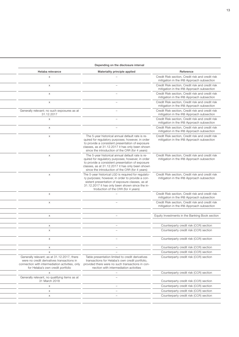#### Depending on the disclosure interval

| Helaba relevance                                                                                                                                                                  | Materiality principle applied                                                                                                                                                                                                                                    | Reference                                                                                     |
|-----------------------------------------------------------------------------------------------------------------------------------------------------------------------------------|------------------------------------------------------------------------------------------------------------------------------------------------------------------------------------------------------------------------------------------------------------------|-----------------------------------------------------------------------------------------------|
| $\times$                                                                                                                                                                          |                                                                                                                                                                                                                                                                  | Credit Risk section, Credit risk and credit risk<br>mitigation in the IRB Approach subsection |
| $\times$                                                                                                                                                                          |                                                                                                                                                                                                                                                                  | Credit Risk section, Credit risk and credit risk<br>mitigation in the IRB Approach subsection |
| $\times$                                                                                                                                                                          |                                                                                                                                                                                                                                                                  | Credit Risk section, Credit risk and credit risk<br>mitigation in the IRB Approach subsection |
| $\times$                                                                                                                                                                          |                                                                                                                                                                                                                                                                  | Credit Risk section, Credit risk and credit risk<br>mitigation in the IRB Approach subsection |
| Generally relevant; no such exposures as at<br>31.12.2017                                                                                                                         |                                                                                                                                                                                                                                                                  | Credit Risk section, Credit risk and credit risk<br>mitigation in the IRB Approach subsection |
| $\times$                                                                                                                                                                          |                                                                                                                                                                                                                                                                  | Credit Risk section, Credit risk and credit risk<br>mitigation in the IRB Approach subsection |
| $\times$                                                                                                                                                                          |                                                                                                                                                                                                                                                                  | Credit Risk section, Credit risk and credit risk<br>mitigation in the IRB Approach subsection |
| $\times$                                                                                                                                                                          | The 5-year historical annual default rate is re-<br>quired for regulatory purposes; however, in order<br>to provide a consistent presentation of exposure<br>classes, as at 31.12.2017 it has only been shown<br>since the introduction of the CRR (for 4 years) | Credit Risk section, Credit risk and credit risk<br>mitigation in the IRB Approach subsection |
| $\times$                                                                                                                                                                          | The 5-year historical annual default rate is re-<br>quired for regulatory purposes; however, in order<br>to provide a consistent presentation of exposure<br>classes, as at 31.12.2017 it has only been shown<br>since the introduction of the CRR (for 4 years) | Credit Risk section, Credit risk and credit risk<br>mitigation in the IRB Approach subsection |
| $\times$                                                                                                                                                                          | The 5-year historical LGD is required for regulato-<br>ry purposes; however, in order to provide a con-<br>sistent presentation of exposure classes, as at<br>31.12.2017 it has only been shown since the in-<br>troduction of the CRR (for 4 years)             | Credit Risk section, Credit risk and credit risk<br>mitigation in the IRB Approach subsection |
| $\times$                                                                                                                                                                          |                                                                                                                                                                                                                                                                  | Credit Risk section, Credit risk and credit risk<br>mitigation in the IRB Approach subsection |
| $\times$                                                                                                                                                                          |                                                                                                                                                                                                                                                                  | Credit Risk section, Credit risk and credit risk<br>mitigation in the IRB Approach subsection |
|                                                                                                                                                                                   |                                                                                                                                                                                                                                                                  |                                                                                               |
| $\times$                                                                                                                                                                          |                                                                                                                                                                                                                                                                  | Equity Investments in the Banking Book section                                                |
| $\times$                                                                                                                                                                          |                                                                                                                                                                                                                                                                  | Counterparty credit risk (CCR) section                                                        |
| $\times$                                                                                                                                                                          |                                                                                                                                                                                                                                                                  | Counterparty credit risk (CCR) section                                                        |
| $\times$                                                                                                                                                                          |                                                                                                                                                                                                                                                                  | Counterparty credit risk (CCR) section                                                        |
|                                                                                                                                                                                   |                                                                                                                                                                                                                                                                  | Counterparty credit risk (CCR) section                                                        |
|                                                                                                                                                                                   |                                                                                                                                                                                                                                                                  | Counterparty credit risk (CCR) section                                                        |
| Generally relevant; as at 31.12.2017, there<br>were no credit derivatives transactions in<br>connection with intermediation activities, only<br>for Helaba's own credit portfolio | Table presentation limited to credit derivatives<br>transactions for Helaba's own credit portfolio,<br>provided there were no such transactions in con-<br>nection with intermediation activities                                                                | Counterparty credit risk (CCR) section                                                        |
| $\times$                                                                                                                                                                          | $\overline{\phantom{0}}$                                                                                                                                                                                                                                         | Counterparty credit risk (CCR) section                                                        |
| Generally relevant, no qualifying items as at<br>31 March 2018                                                                                                                    |                                                                                                                                                                                                                                                                  | Counterparty credit risk (CCR) section                                                        |
| $\times$                                                                                                                                                                          |                                                                                                                                                                                                                                                                  | Counterparty credit risk (CCR) section                                                        |
| $\times$                                                                                                                                                                          |                                                                                                                                                                                                                                                                  | Counterparty credit risk (CCR) section                                                        |
| $\times$                                                                                                                                                                          |                                                                                                                                                                                                                                                                  | Counterparty credit risk (CCR) section                                                        |
|                                                                                                                                                                                   |                                                                                                                                                                                                                                                                  |                                                                                               |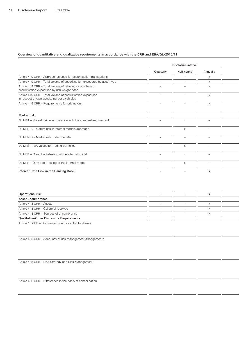|                                                                                                          | Disclosure interval      |                          |                          |
|----------------------------------------------------------------------------------------------------------|--------------------------|--------------------------|--------------------------|
|                                                                                                          | Quarterly                | Half-yearly              | Annually                 |
| Article 449 CRR - Approaches used for securitisation transactions                                        | $\qquad \qquad -$        | $-$                      | X                        |
| Article 449 CRR - Total volume of securitisation exposures by asset type                                 | $\overline{\phantom{a}}$ | $\overline{\phantom{0}}$ | X                        |
| Article 449 CRR - Total volume of retained or purchased<br>securitisation exposures by risk weight band  |                          |                          | X                        |
| Article 449 CRR - Total volume of securitisation exposures<br>in respect of own special purpose vehicles | $\overline{\phantom{a}}$ | $\overline{\phantom{0}}$ | $\times$                 |
| Article 449 CRR - Requirements for originators                                                           | $\overline{\phantom{a}}$ | $\overline{\phantom{0}}$ | $\times$                 |
| Market risk                                                                                              |                          |                          |                          |
| EU MR1 - Market risk in accordance with the standardised method                                          | $\overline{\phantom{m}}$ | $\times$                 | $\overline{\phantom{a}}$ |
| EU MR2-A - Market risk in internal models approach                                                       |                          | $\times$                 | $\overline{\phantom{a}}$ |
| EU MR2-B - Market risk under the IMA                                                                     |                          |                          |                          |
| EU MR3 - IMA values for trading portfolios                                                               |                          |                          |                          |
| EU MR4 - Clean back-testing of the internal model                                                        | $\overline{\phantom{a}}$ | $\times$                 | $\overline{\phantom{a}}$ |
| EU MR4 - Dirty back-testing of the internal model                                                        | $\overline{\phantom{a}}$ | $\times$                 | $\overline{\phantom{a}}$ |
| Interest Rate Risk in the Banking Book                                                                   | $\overline{\phantom{a}}$ | $\qquad \qquad -$        | x                        |

| Operational risk                                        | $\overline{\phantom{0}}$ |  |
|---------------------------------------------------------|--------------------------|--|
| <b>Asset Encumbrance</b>                                |                          |  |
| Article 443 CRR - Assets                                |                          |  |
| Article 443 CRR - Collateral received                   | $\overline{\phantom{0}}$ |  |
| Article 443 CRR - Sources of encumbrance                |                          |  |
| Qualitative/Other Disclosure Requirements               |                          |  |
| Article 13 CRR - Disclosure by significant subsidiaries |                          |  |

Article 435 CRR – Adequacy of risk management arrangements

Article 435 CRR – Risk Strategy and Risk Management

Article 436 CRR – Differences in the basis of consolidation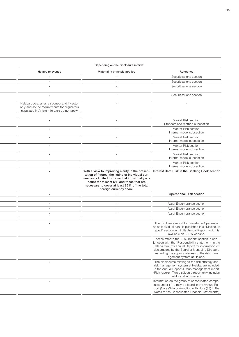#### Depending on the disclosure interval

| Reference<br>Securitisations section<br>Securitisations section                                                                                                                                                                                                                               | Materiality principle applied                                                                                                                                                                                                                                                                                                  | Helaba relevance                                                                                                                        |
|-----------------------------------------------------------------------------------------------------------------------------------------------------------------------------------------------------------------------------------------------------------------------------------------------|--------------------------------------------------------------------------------------------------------------------------------------------------------------------------------------------------------------------------------------------------------------------------------------------------------------------------------|-----------------------------------------------------------------------------------------------------------------------------------------|
|                                                                                                                                                                                                                                                                                               |                                                                                                                                                                                                                                                                                                                                |                                                                                                                                         |
|                                                                                                                                                                                                                                                                                               | $\overline{\phantom{a}}$                                                                                                                                                                                                                                                                                                       | $\times$                                                                                                                                |
|                                                                                                                                                                                                                                                                                               |                                                                                                                                                                                                                                                                                                                                | $\times$                                                                                                                                |
| Securitisations section                                                                                                                                                                                                                                                                       |                                                                                                                                                                                                                                                                                                                                | $\times$                                                                                                                                |
| Securitisations section                                                                                                                                                                                                                                                                       |                                                                                                                                                                                                                                                                                                                                | $\times$                                                                                                                                |
|                                                                                                                                                                                                                                                                                               |                                                                                                                                                                                                                                                                                                                                | Helaba operates as a sponsor and investor<br>only and so the requirements for originators<br>stipulated in Article 449 CRR do not apply |
| Market Risk section,<br>Standardised method subsection                                                                                                                                                                                                                                        | $\overline{\phantom{0}}$                                                                                                                                                                                                                                                                                                       | $\times$                                                                                                                                |
| Market Risk section,<br>Internal model subsection                                                                                                                                                                                                                                             |                                                                                                                                                                                                                                                                                                                                | $\times$                                                                                                                                |
| Market Risk section,<br>Internal model subsection                                                                                                                                                                                                                                             |                                                                                                                                                                                                                                                                                                                                | $\times$                                                                                                                                |
| Market Risk section,<br>Internal model subsection                                                                                                                                                                                                                                             |                                                                                                                                                                                                                                                                                                                                | $\times$                                                                                                                                |
| Market Risk section,<br>Internal model subsection                                                                                                                                                                                                                                             |                                                                                                                                                                                                                                                                                                                                | $\times$                                                                                                                                |
| Market Risk section,<br>Internal model subsection                                                                                                                                                                                                                                             |                                                                                                                                                                                                                                                                                                                                | $\times$                                                                                                                                |
|                                                                                                                                                                                                                                                                                               | With a view to improving clarity in the presen- Interest Rate Risk in the Banking Book section<br>tation of figures, the listing of individual cur-<br>rencies is limited to those that individually ac-<br>count for at least 5% and those that are<br>necessary to cover at least 95% of the total<br>foreign currency share | $\boldsymbol{\mathsf{x}}$                                                                                                               |
| <b>Operational Risk section</b>                                                                                                                                                                                                                                                               |                                                                                                                                                                                                                                                                                                                                | $\boldsymbol{\mathsf{x}}$                                                                                                               |
|                                                                                                                                                                                                                                                                                               |                                                                                                                                                                                                                                                                                                                                |                                                                                                                                         |
| Asset Encumbrance section                                                                                                                                                                                                                                                                     |                                                                                                                                                                                                                                                                                                                                | $\times$                                                                                                                                |
| Asset Encumbrance section                                                                                                                                                                                                                                                                     |                                                                                                                                                                                                                                                                                                                                | $\times$                                                                                                                                |
| Asset Encumbrance section                                                                                                                                                                                                                                                                     |                                                                                                                                                                                                                                                                                                                                | $\times$                                                                                                                                |
| The disclosure report for Frankfurter Sparkasse<br>as an individual bank is published in a "Disclosure<br>report" section within its Annual Report, which is<br>available on FSP's website.                                                                                                   |                                                                                                                                                                                                                                                                                                                                | $\times$                                                                                                                                |
| Please refer to the "Risk report" section in con-<br>junction with the "Responsibility statement" in the<br>Helaba Group's Annual Report for information on<br>declarations by the Board of Managing Directors<br>regarding the appropriateness of the risk man-<br>agement system at Helaba. |                                                                                                                                                                                                                                                                                                                                | $\times$                                                                                                                                |
| The disclosures relating to the risk strategy and<br>risk management system at Helaba are included<br>in the Annual Report (Group management report<br>(Risk report)). This disclosure report only includes<br>additional information.                                                        |                                                                                                                                                                                                                                                                                                                                | $\times$                                                                                                                                |
| Information on the group of consolidated compa-                                                                                                                                                                                                                                               |                                                                                                                                                                                                                                                                                                                                | $\times$                                                                                                                                |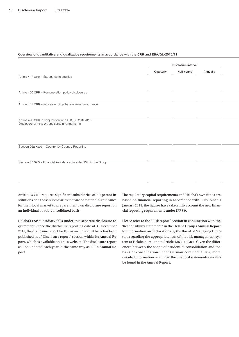|                                                                                                        | Disclosure interval |             |          |  |  |  |
|--------------------------------------------------------------------------------------------------------|---------------------|-------------|----------|--|--|--|
|                                                                                                        | Quarterly           | Half-yearly | Annually |  |  |  |
| Article 447 CRR - Exposures in equities                                                                |                     |             |          |  |  |  |
|                                                                                                        |                     |             |          |  |  |  |
| Article 450 CRR - Remuneration policy disclosures                                                      |                     |             |          |  |  |  |
| Article 441 CRR - Indicators of global systemic importance                                             |                     |             |          |  |  |  |
|                                                                                                        |                     |             |          |  |  |  |
|                                                                                                        |                     |             |          |  |  |  |
| Article 473 CRR in conjunction with EBA GL 2018/01 -<br>Disclosure of IFRS 9 transitional arrangements |                     |             |          |  |  |  |
|                                                                                                        |                     |             |          |  |  |  |
|                                                                                                        |                     |             |          |  |  |  |
| Section 26a KWG - Country by Country Reporting                                                         |                     |             |          |  |  |  |
|                                                                                                        |                     |             |          |  |  |  |
| Section 35 SAG - Financial Assistance Provided Within the Group                                        |                     |             |          |  |  |  |
|                                                                                                        |                     |             |          |  |  |  |
|                                                                                                        |                     |             |          |  |  |  |

Article 13 CRR requires significant subsidiaries of EU parent institutions and those subsidiaries that are of material significance for their local market to prepare their own disclosure report on an individual or sub-consolidated basis.

Helaba's FSP subsidiary falls under this separate disclosure requirement. Since the disclosure reporting date of 31 December 2015, the disclosure report for FSP as an individual bank has been published in a "Disclosure report" section within its **[Annual Re](https://www.frankfurter-sparkasse.de/de/home/ihre-sparkasse/unternehmen.html?n=true&stref=hnav)[port](https://www.frankfurter-sparkasse.de/de/home/ihre-sparkasse/unternehmen.html?n=true&stref=hnav)**, which is available on FSP's website. The disclosure report will be updated each year in the same way as FSP's **[Annual Re](https://www.frankfurter-sparkasse.de/de/home/ihre-sparkasse/unternehmen.html?n=true&stref=hnav)[port](https://www.frankfurter-sparkasse.de/de/home/ihre-sparkasse/unternehmen.html?n=true&stref=hnav)**.

The regulatory capital requirements and Helaba's own funds are based on financial reporting in accordance with IFRS. Since 1 January 2018, the figures have taken into account the new financial reporting requirements under IFRS 9.

Please refer to the "Risk report" section in conjunction with the "Responsibility statement" in the Helaba Group's **[Annual Report](http://geschaeftsbericht.helaba.de/)** for information on declarations by the Board of Managing Directors regarding the appropriateness of the risk management system at Helaba pursuant to Article 435 (1e) CRR. Given the differences between the scope of prudential consolidation and the basis of consolidation under German commercial law, more detailed information relating to the financial statements can also be found in the **[Annual Report](http://geschaeftsbericht.helaba.de/)**.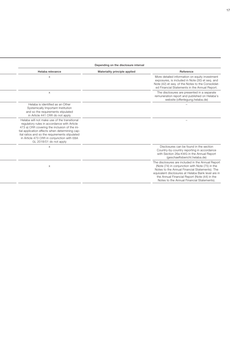|                                                                                                                                                                                                                                                                                                                           | Depending on the disclosure interval |                                                                                                                                                                                                                                                                                                             |
|---------------------------------------------------------------------------------------------------------------------------------------------------------------------------------------------------------------------------------------------------------------------------------------------------------------------------|--------------------------------------|-------------------------------------------------------------------------------------------------------------------------------------------------------------------------------------------------------------------------------------------------------------------------------------------------------------|
| Helaba relevance                                                                                                                                                                                                                                                                                                          | Materiality principle applied        | Reference                                                                                                                                                                                                                                                                                                   |
| $\times$                                                                                                                                                                                                                                                                                                                  |                                      | More detailed information on equity investment<br>exposures, is included in Note (30) et seq. and<br>Note (42) et seq. of the Notes to the Consolidat-<br>ed Financial Statements in the Annual Report.                                                                                                     |
| $\times$                                                                                                                                                                                                                                                                                                                  |                                      | The disclosures are presented in a separate<br>remuneration report and published on Helaba's<br>website (offenlegung.helaba.de)                                                                                                                                                                             |
| Helaba is identified as an Other<br>Systemically Important Institution<br>and so the requirements stipulated<br>in Article 441 CRR do not apply                                                                                                                                                                           |                                      |                                                                                                                                                                                                                                                                                                             |
| Helaba will not make use of the transitional<br>regulatory rules in accordance with Article<br>473 a) CRR covering the inclusion of the ini-<br>tial application effects when determining cap-<br>ital ratios and so the requirements stipulated<br>in Article 473 CRR in conjunction with EBA<br>GL 2018/01 do not apply |                                      |                                                                                                                                                                                                                                                                                                             |
|                                                                                                                                                                                                                                                                                                                           |                                      | Disclosures can be found in the section<br>Country-by-country reporting in accordance<br>with Section 26a KWG in the Annual Report<br>(geschaeftsbericht.helaba.de)                                                                                                                                         |
| $\times$                                                                                                                                                                                                                                                                                                                  |                                      | The disclosures are included in the Annual Report<br>(Note (74) in conjunction with Note (75) in the<br>Notes to the Annual Financial Statements). The<br>equivalent disclosures at Helaba Bank level are in<br>the Annual Financial Report (Note (44) in the<br>Notes to the Annual Financial Statements). |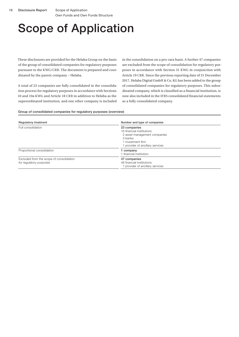## <span id="page-17-0"></span>Scope of Application

These disclosures are provided for the Helaba Group on the basis of the group of consolidated companies for regulatory purposes pursuant to the KWG/CRR. The document is prepared and coordinated by the parent company – Helaba.

A total of 23 companies are fully consolidated in the consolidation process for regulatory purposes in accordance with Sections 10 and 10a KWG and Article 18 CRR in addition to Helaba as the superordinated institution, and one other company is included

in the consolidation on a pro-rata basis. A further 47 companies are excluded from the scope of consolidation for regulatory purposes in accordance with Section 31 KWG in conjunction with Article 19 CRR. Since the previous reporting date of 31 December 2017, Helaba Digital GmbH & Co. KG has been added to the group of consolidated companies for regulatory purposes. This subordinated company, which is classified as a financial institution, is now also included in the IFRS consolidated financial statements as a fully consolidated company.

### Group of consolidated companies for regulatory purposes (overview)

| <b>Regulatory treatment</b>                                         | Number and type of companies                                                                                                                  |  |  |  |
|---------------------------------------------------------------------|-----------------------------------------------------------------------------------------------------------------------------------------------|--|--|--|
| Full consolidation                                                  | 23 companies<br>16 financial institutions<br>2 asset management companies<br>3 banks<br>1 investment firm<br>1 provider of ancillary services |  |  |  |
| Proportional consolidation                                          | 1 company<br>1 financial institution                                                                                                          |  |  |  |
| Excluded from the scope of consolidation<br>for regulatory purposes | 47 companies<br>46 financial institutions<br>1 provider of ancillary services                                                                 |  |  |  |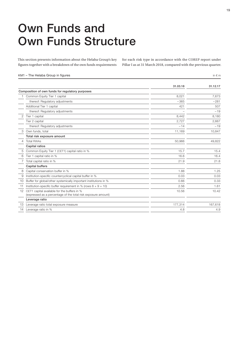## <span id="page-18-0"></span>Own Funds and Own Funds Structure

This section presents information about the Helaba Group's key figures together with a breakdown of the own funds requirements

for each risk type in accordance with the COREP report under Pillar I as at 31 March 2018, compared with the previous quarter.

#### KM1 – The Helaba Group in figures in  $\epsilon$  m

|                |                                                                                                              | 31.03.18 | 31.12.17 |
|----------------|--------------------------------------------------------------------------------------------------------------|----------|----------|
|                | Composition of own funds for regulatory purposes                                                             |          |          |
|                | Common Equity Tier 1 capital                                                                                 | 8,021    | 7,673    |
|                | thereof: Regulatory adjustments                                                                              | $-365$   | $-281$   |
|                | Additional Tier 1 capital                                                                                    | 421      | 507      |
|                | thereof: Regulatory adjustments                                                                              |          | $-19$    |
| 2              | Tier 1 capital                                                                                               | 8.442    | 8,180    |
|                | Tier 2 capital                                                                                               | 2.727    | 2,667    |
|                | thereof: Regulatory adjustments                                                                              | $-14$    | $-19$    |
| З              | Own funds, total                                                                                             | 11,169   | 10.847   |
|                | Total risk exposure amount                                                                                   |          |          |
| $\overline{4}$ | <b>Total RWAs</b>                                                                                            | 50.966   | 49,822   |
|                | Capital ratios                                                                                               |          |          |
| 5              | Common Equity Tier 1 (CET1) capital ratio in %                                                               | 15.7     | 15.4     |
| 6              | Tier 1 capital ratio in %                                                                                    | 16.6     | 16.4     |
|                | Total capital ratio in %                                                                                     | 21.9     | 21.8     |
|                | <b>Capital buffers</b>                                                                                       |          |          |
| 8              | Capital conservation buffer in %                                                                             | 1.88     | 1.25     |
| 9              | Institution-specific countercyclical capital buffer in %                                                     | 0.03     | 0.03     |
| 10             | Buffer for global/other systemically important institutions in %                                             | 0.66     | 0.33     |
| 11             | Institution-specific buffer requirement in % (rows $8 + 9 + 10$ )                                            | 2.56     | 1.61     |
| 12             | CET1 capital available for the buffers in %<br>(expressed as a percentage of the total risk exposure amount) | 10.56    | 10.42    |
|                | Leverage ratio                                                                                               |          |          |
| 13             | Leverage ratio total exposure measure                                                                        | 177,314  | 167,618  |
| 14             | Leverage ratio in %                                                                                          | 4.8      | 4.9      |
|                |                                                                                                              |          |          |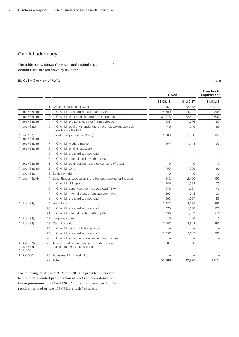### <span id="page-19-0"></span>Capital adequacy

The table below shows the RWAs and capital requirements for default risks, broken down by risk type.

#### EU OV1 – Overview of RWAs in  $\epsilon$  m

RWAs Own funds requirement  $31.03.18$   $31.12.17$   $31.03.18$ 1 Credit risk (excluding CCR) 2,212 Article 438(c)(d) 2 Of which standardised approach (CRSA) 4,600 4,227 368 Article 438(c)(d) 3 Of which the foundation IRB (FIRB) approach 33,716 33,716 33,441 2,697 Article 438(c)(d) 4 Of which the advanced IRB (AIRB) approach 1,085 1,076 1,076 87 Article 438(d) 5 Of which equity IRB under the simple risk-weight approach method or the IMA 749 240 60 Article 107, Article 438(c)(d) 6 Counterparty credit risk (CCR) 1,909 1,903 153 Article 438(c)(d) 7 Of which mark to market 1,154 1,154 1,144 92 Article 438(c)(d) 8 Of which original exposure  $-$ 9 Of which standardised approach – – – 10 Of which internal model method (IMM) – – – Article 438(c)(d) 11 Of which contributions to the default fund of a CCP 0 0 0 Article 438(c)(d) 12 Of which CVA 755 759 60 Article 438(e) 13 Settlement risk 0 0 0 Article 449(o)(i) 14 Securitisation exposures in the banking book (after the cap) 1,942 2,420 2,420 155 15 Of which IRB approach 200 1,383 70 16 Of which supervisory formula approach (SFA) 576 576 1,031 46 17 Of which internal assessment approach (IAA) 297 344 24 18 Of which standardised approach 1,063 1,063 1,037 85 Artikel 438(e) 19 Market risk 3,323 2,785 266 20 Of which standardised approach 1,570 1,338 126 21 Of which internal model method (IMM) 1,753 1,447 140 Artikel 438(e) 22 Large exposures and the control of the control of the control of the control of the control o Artikel 438(f) 23 Operational risk 3,557 3,642 285 24 Of which basic indicator approach 25 Of which standardised approach 3,557 3,642 285 26 Of which advanced measurement approaches – – – Artikel 437(2), Artikel 48 and Artikel 60 27 Amounts below the thresholds for deduction (subject to 250 % risk weight) 84 88 7 Artikel 500 28 Adjustment for Basel I floor 29 Total 50,966 49,822 4,077

The following table (as at 31 March 2018) is provided in addition to the differentiated presentation of RWAs in accordance with the requirements in EBA/GL/2016/11 in order to ensure that the requirements of Article 438 CRR are satisfied in full.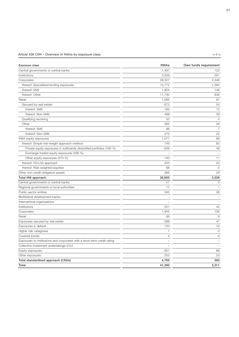### Article 438 CRR – Overview of RWAs by exposure class in  $\epsilon$  m in  $\epsilon$  m

| Exposure class                                                           | <b>RWAs</b>              | Own funds requirement    |
|--------------------------------------------------------------------------|--------------------------|--------------------------|
| Central governments or central banks                                     | 1,497                    | 120                      |
| Institutions                                                             | 3,259                    | 261                      |
| Corporates                                                               | 29,327                   | 2,346                    |
| thereof: Specialised lending exposures                                   | 15,772                   | 1,262                    |
| thereof: SME                                                             | 1,824                    | 146                      |
| thereof: Other                                                           | 11,730                   | 938                      |
| Retail                                                                   | 1,085                    | 87                       |
| Secured by real estate                                                   | 673                      | 54                       |
| thereof: SME                                                             | 185                      | 15                       |
| thereof: Non-SME                                                         | 488                      | 39                       |
| Qualifying revolving                                                     | 50                       | $\overline{4}$           |
| Other                                                                    | 362                      | 29                       |
| thereof: SME                                                             | 86                       | $\overline{7}$           |
| thereof: Non-SME                                                         | 275                      | 22                       |
| IRBA equity exposures                                                    | 1,071                    | 86                       |
| thereof: Simple risk-weight approach method                              | 749                      | 60                       |
| Private equity exposures in sufficiently diversified portfolios (190 %)  | 609                      | 49                       |
| Exchange traded equity exposures (290 %)                                 |                          | $\overline{\phantom{a}}$ |
| Other equity exposures (370 %)                                           | 140                      | 11                       |
| thereof: PD/LGD approach                                                 | 253                      | 20                       |
| thereof: Risk-weighted equities                                          | 68                       | 5                        |
| Other non-credit-obligation assets                                       | 366                      | 29                       |
| Total IRB approach                                                       | 36,605                   | 2,928                    |
| Central governments or central banks                                     | 41                       | 3                        |
| Regional governments or local authorities                                | 17                       | $\mathbf{1}$             |
| Public-sector entities                                                   | 345                      | 28                       |
| Multilateral development banks                                           |                          |                          |
| International organisations                                              | $\overline{\phantom{0}}$ |                          |
| Institutions                                                             | 521                      | 42                       |
| Corporates                                                               | 1,945                    | 156                      |
| Retail                                                                   | 99                       | 8                        |
| Exposures secured by real estate                                         | 588                      | 47                       |
| Exposures in default                                                     | 120                      | 10                       |
| Higher risk categories                                                   | $\mathbf{1}$             | $\circ$                  |
| Covered bonds                                                            | $\overline{4}$           | 0                        |
| Exposures to institutions and corporates with a short-term credit rating | $\overline{\phantom{0}}$ |                          |
| Collective investment undertakings (CIU)                                 |                          |                          |
| Equity exposures                                                         | 851                      | 68                       |
| Other exposures                                                          | 253                      | 20                       |
| Total standardised approach (CRSA)                                       | 4,785                    | 383                      |
| Total                                                                    | 41,390                   | 3,311                    |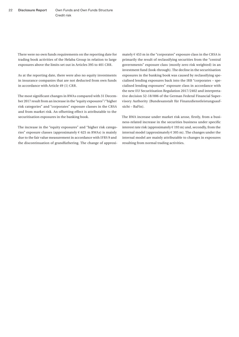There were no own funds requirements on the reporting date for trading book activities of the Helaba Group in relation to large exposures above the limits set out in Articles 395 to 401 CRR.

As at the reporting date, there were also no equity investments in insurance companies that are not deducted from own funds in accordance with Article 49 (1) CRR.

The most significant changes in RWAs compared with 31 December 2017 result from an increase in the "equity exposures"/"higher risk categories" and "corporates" exposure classes in the CRSA and from market risk. An offsetting effect is attributable to the securitisation exposures in the banking book.

The increase in the "equity exposures" and "higher risk categories" exposure classes (approximately  $\epsilon$  625 m RWAs) is mainly due to the fair value measurement in accordance with IFRS 9 and the discontinuation of grandfathering. The change of approximately  $\in$  453 m in the "corporates" exposure class in the CRSA is primarily the result of reclassifying securities from the "central governments" exposure class (mostly zero risk weighted) in an investment fund (look-through). The decline in the securitisation exposures in the banking book was caused by reclassifying specialised lending exposures back into the IRB "corporates – specialised lending exposures" exposure class in accordance with the new EU Securitisation Regulation 2017/2402 and interpretative decision 52-18/006 of the German Federal Financial Supervisory Authority (Bundesanstalt für Finanzdienstleistungsaufsicht – BaFin).

The RWA increase under market risk arose, firstly, from a business-related increase in the securities business under specific interest rate risk (approximately  $\in$  193 m) and, secondly, from the internal model (approximately  $\in$  305 m). The changes under the internal model are mainly attributable to changes in exposures resulting from normal trading activities.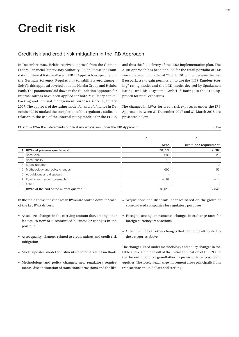## <span id="page-22-0"></span>Credit risk

### Credit risk and credit risk mitigation in the IRB Approach

In December 2006, Helaba received approval from the German Federal Financial Supervisory Authority (BaFin) to use the Foundation Internal Ratings-Based (FIRB) Approach as specified in the German Solvency Regulation (Solvabilitätsverordnung – SolvV); this approval covered both the Helaba Group and Helaba Bank. The parameters laid down in the Foundation Approach for internal ratings have been applied for both regulatory capital backing and internal management purposes since 1 January 2007. The approval of the rating model for aircraft finance in December 2010 marked the completion of the regulatory audits in relation to the use of the internal rating models for the FIRBA

and thus the full delivery of the IRBA implementation plan. The AIRB Approach has been applied for the retail portfolio of FSP since the second quarter of 2008. In 2013, LBS became the first Bausparkasse to gain permission to use the "LBS-Kunden-Scoring" rating model and the LGD model devised by Sparkassen Rating- und Risikosysteme GmbH (S-Rating) in the AIRB Approach for retail exposures.

The changes in RWAs for credit risk exposures under the IRB Approach between 31 December 2017 and 31 March 2018 are presented below.

EU CR8 – RWA flow statements of credit risk exposures under the IRB Approach  $\epsilon$  m

|   |                                        | a           | b                     |
|---|----------------------------------------|-------------|-----------------------|
|   |                                        | <b>RWAs</b> | Own funds requirement |
|   | RWAs at previous quarter-end           | 34,774      | 2,782                 |
| 2 | Asset size                             | 281         | 23                    |
| 3 | Asset quality                          | 43          | 3                     |
| 4 | Model updates                          | $-2$        | $\Omega$              |
| 5 | Methodology and policy changes         | 692         | 55                    |
|   | 6 Acquisitions and disposals           |             |                       |
|   | Foreign exchange movements             | $-169$      | $-14$                 |
| 8 | Other                                  | $\Omega$    | $\Omega$              |
| 9 | RWAs at the end of the current quarter | 35,619      | 2,849                 |
|   |                                        |             |                       |

In the table above, the changes in RWAs are broken down for each of the key RWA drivers:

- Asset size: changes in the carrying amount due, among other factors, to new or discontinued business or changes in the portfolio
- Asset quality: changes related to credit ratings and credit risk mitigation
- Model updates: model adjustments to internal rating methods
- Methodology and policy changes: new regulatory requirements, discontinuation of transitional provisions and the like
- Acquisitions and disposals: changes based on the group of consolidated companies for regulatory purposes
- Foreign exchange movements: changes in exchange rates for foreign currency transactions
- Other: includes all other changes that cannot be attributed to the categories above.

The changes listed under methodology and policy changes in the table above are the result of the initial application of IFRS 9 and the discontinuation of grandfathering provision for exposures in equities. The foreign exchange movement arose principally from transactions in US dollars and sterling.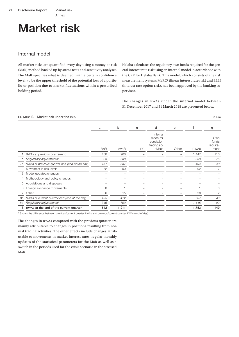### Annex

# <span id="page-23-0"></span>Market risk

### Internal model

All market risks are quantified every day using a money-at-risk (MaR) method backed up by stress tests and sensitivity analyses. The MaR specifies what is deemed, with a certain confidence level, to be the upper threshold of the potential loss of a portfolio or position due to market fluctuations within a prescribed holding period.

Helaba calculates the regulatory own funds required for the general interest rate risk using an internal model in accordance with the CRR for Helaba Bank. This model, which consists of the risk measurement systems MaRC² (linear interest rate risk) and ELLI (interest rate option risk), has been approved by the banking supervisor.

The changes in RWAs under the internal model between 31 December 2017 and 31 March 2018 are presented below.

#### EU MR2-B – Market risk under the IMA in  $\epsilon$  m

|    |                                               | a       | b     | c          | d                                                               | e     | f           | g                                |
|----|-----------------------------------------------|---------|-------|------------|-----------------------------------------------------------------|-------|-------------|----------------------------------|
|    |                                               | VaR     | sVaR  | <b>IRC</b> | Internal<br>model for<br>correlation<br>trading ac-<br>tivities | Other | <b>RWAs</b> | Own<br>funds<br>require-<br>ment |
|    | RWAs at previous quarter-end                  | 480     | 968   |            |                                                                 |       | 1,447       | 116                              |
| 1a | Regulatory adjustments <sup>1</sup>           | 323     | 630   |            |                                                                 |       | 953         | 76                               |
| 1b | RWAs at previous quarter-end (end of the day) | 157     | 337   |            |                                                                 |       | 494         | 40                               |
| 2  | Movement in risk levels                       | 32      | 59    |            |                                                                 |       | 92          | 7                                |
| 3  | Model updates/changes                         |         |       |            |                                                                 |       |             |                                  |
| 4  | Methodology and policy changes                |         |       |            |                                                                 |       |             |                                  |
| 5  | Acquisitions and disposals                    |         |       |            |                                                                 |       |             |                                  |
| 6  | Foreign exchange movements                    | $\circ$ |       |            |                                                                 |       |             | $\Omega$                         |
|    | Other                                         | 6       | 15    |            |                                                                 |       | 20          | 2                                |
| 8а | RWAs at current quarter-end (end of the day)  | 195     | 412   |            |                                                                 |       | 607         | 49                               |
| 8b | Regulatory adjustments <sup>1</sup>           | 346     | 799   |            |                                                                 |       | 1,145       | 92                               |
| 8  | RWAs at the end of the current quarter        | 542     | 1,211 |            |                                                                 |       | 1,753       | 140                              |

1 Shows the difference between previous/current quarter RWAs and previous/current quarter RWAs (end of day)

The changes in RWAs compared with the previous quarter are mainly attributable to changes in positions resulting from normal trading activities. The other effects include changes attributable to movements in market interest rates, regular monthly updates of the statistical parameters for the MaR as well as a switch in the periods used for the crisis scenario in the stressed MaR.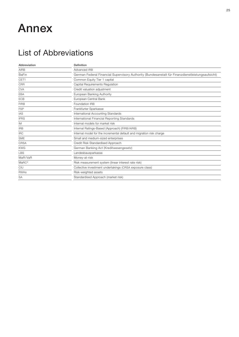### <span id="page-24-0"></span>Annex

### List of Abbreviations

| Abbreviation      | Definition                                                                                       |  |  |
|-------------------|--------------------------------------------------------------------------------------------------|--|--|
| <b>AIRB</b>       | Advanced IRB                                                                                     |  |  |
| <b>BaFin</b>      | German Federal Financial Supervisory Authority (Bundesanstalt für Finanzdienstleistungsaufsicht) |  |  |
| CET1              | Common Equity Tier 1 capital                                                                     |  |  |
| <b>CRR</b>        | Capital Requirements Regulation                                                                  |  |  |
| <b>CVA</b>        | Credit valuation adjustment                                                                      |  |  |
| <b>EBA</b>        | European Banking Authority                                                                       |  |  |
| <b>ECB</b>        | European Central Bank                                                                            |  |  |
| <b>FIRB</b>       | Foundation IRB                                                                                   |  |  |
| <b>FSP</b>        | Frankfurter Sparkasse                                                                            |  |  |
| <b>IAS</b>        | International Accounting Standards                                                               |  |  |
| <b>IFRS</b>       | International Financial Reporting Standards                                                      |  |  |
| IM                | Internal models for market risk                                                                  |  |  |
| <b>IRB</b>        | Internal Ratings-Based (Approach) (FIRB/AIRB)                                                    |  |  |
| <b>IRC</b>        | Internal model for the incremental default and migration risk charge                             |  |  |
| <b>SME</b>        | Small and medium-sized enterprises                                                               |  |  |
| <b>CRSA</b>       | Credit Risk Standardised Approach                                                                |  |  |
| <b>KWG</b>        | German Banking Act (Kreditwesengesetz)                                                           |  |  |
| <b>LBS</b>        | Landesbausparkasse                                                                               |  |  |
| MaR/VaR           | Money-at-risk                                                                                    |  |  |
| MARC <sup>2</sup> | Risk measurement system (linear interest rate risk)                                              |  |  |
| CIU               | Collective investment undertakings (CRSA exposure class)                                         |  |  |
| <b>RWAs</b>       | Risk-weighted assets                                                                             |  |  |
| <b>SA</b>         | Standardised Approach (market risk)                                                              |  |  |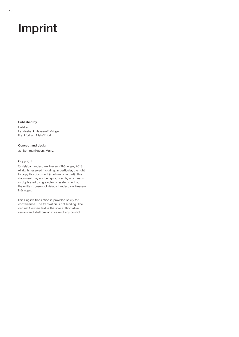## Imprint

#### Published by

Helaba Landesbank Hessen-Thüringen Frankfurt am Main/Erfurt

Concept and design 3st kommunikation, Mainz

#### Copyright

© Helaba Landesbank Hessen-Thüringen, 2018 All rights reserved including, in particular, the right to copy this document (in whole or in part). This document may not be reproduced by any means or duplicated using electronic systems without the written consent of Helaba Landesbank Hessen-Thüringen.

This English translation is provided solely for convenience. The translation is not binding. The original German text is the sole authoritative version and shall prevail in case of any conflict.